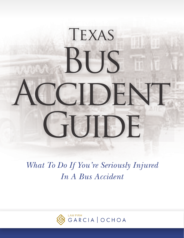# Texas **BUS** CCIDENT GUIDE

# *What To Do If You're Seriously Injured In A Bus Accident*

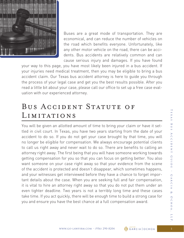

Buses are a great mode of transportation. They are economical, and can reduce the number of vehicles on the road which benefits everyone. Unfortunately, like any other motor vehicle on the road, there can be accidents. Bus accidents are relatively common and can cause serious injury and damages. If you have found

your way to this page, you have most likely been injured in a bus accident. If your injuries need medical treatment, then you may be eligible to bring a bus accident claim. Our Texas bus accident attorney is here to guide you through the process of your legal case and get you the best results possible. After you read a little bit about your case, please call our office to set up a free case evaluation with our experienced attorney.

#### BUS ACCIDENT STATUTE OF Limitations

You will be given an allotted amount of time to bring your claim or have it settled in civil court. In Texas, you have two years starting from the date of your accident to do so. If you do not get your case brought by that time, you will no longer be eligible for compensation. We always encourage potential clients to call us right away and never wait to do so. There are benefits to calling an attorney right away. The first being that you will have someone working towards getting compensation for you so that you can focus on getting better. You also want someone on your case right away so that your evidence from the scene of the accident is protected and doesn't disappear, which sometimes happens, and your witnesses get interviewed before they have a chance to forget important details about the case. When you are seeking full and fair compensation, it is vital to hire an attorney right away so that you do not put them under an even tighter deadline. Two years is not a terribly long time and these cases take time. If you act quickly, there will be enough time to build a strong case for you and ensure you have the best chance at a full compensation award.

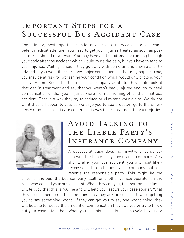### Important Steps for a Successful Bus Accident Case

The ultimate, most important step for any personal injury case is to seek competent medical attention. You need to get your injuries treated as soon as possible. You should never wait. You may have a lot of adrenaline running through your body after the accident which would mute the pain, but you have to tend to your injuries. Waiting to see if they go away with some time is unwise and illadvised. If you wait, there are two major consequences that may happen. One, you may be at risk for worsening your condition which would only prolong your recovery time. Second, if the insurance company wants to, they could look at that gap in treatment and say that you weren't badly injured enough to need compensation or that your injuries were from something other than that bus accident. That is a way they try to reduce or eliminate your claim. We do not want that to happen to you, so we urge you to see a doctor, go to the emergency room, or urgent care center right away to get treatment for your injuries.



#### Avoid Talking to THE LIABLE PARTY'S Insurance Company

A successful case does not involve a conversation with the liable party's insurance company. Very shortly after your bus accident, you will most likely receive a call from the insurance company that represents the responsible party. This might be the

driver of the bus, the bus company itself, or another vehicle operator on the road who caused your bus accident. When they call you, the insurance adjuster will tell you that this is routine and will help you resolve your case sooner. What they do not mention is that the questions they ask are geared toward getting you to say something wrong. If they can get you to say one wrong thing, they will be able to reduce the amount of compensation they owe you or try to throw out your case altogether. When you get this call, it is best to avoid it. You are

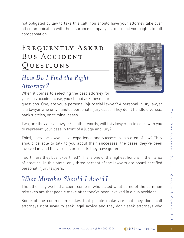not obligated by law to take this call. You should have your attorney take over all communication with the insurance company as to protect your rights to full compensation.

#### FREQUENTLY ASKED BUS ACCIDENT Questions

#### *How Do I Find the Right Attorney?*

When it comes to selecting the best attorney for your bus accident case, you should ask these four



questions. One, are you a personal injury trial lawyer? A personal injury lawyer is a lawyer who only handles personal injury cases. They don't handle divorces, bankruptcies, or criminal cases.

Two, are they a trial lawyer? In other words, will this lawyer go to court with you to represent your case in front of a judge and jury?

Third, does the lawyer have experience and success in this area of law? They should be able to talk to you about their successes, the cases they've been involved in, and the verdicts or results they have gotten.

Fourth, are they board-certified? This is one of the highest honors in their area of practice. In this state, only three percent of the lawyers are board-certified personal injury lawyers.

#### *What Mistakes Should I Avoid?*

The other day we had a client come in who asked what some of the common mistakes are that people make after they've been involved in a bus accident.

Some of the common mistakes that people make are that they don't call attorneys right away to seek legal advice and they don't seek attorneys who

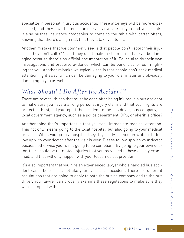specialize in personal injury bus accidents. These attorneys will be more experienced, and they have better techniques to advocate for you and your rights. It also pushes insurance companies to come to the table with better offers, knowing that there's a high risk that they'll take you to trial.

Another mistake that we commonly see is that people don't report their injuries. They don't call 911, and they don't make a claim of it. That can be damaging because there's no official documentation of it. Police also do their own investigations and preserve evidence, which can be beneficial for us in fighting for you. Another mistake we typically see is that people don't seek medical attention right away, which can be damaging to your claim later and obviously damaging to you as well.

#### *What Should I Do After the Accident?*

There are several things that must be done after being injured in a bus accident to make sure you have a strong personal injury claim and that your rights are protected. First, did you report the accident to the bus driver, bus company, or local government agency, such as a police department, DPS, or sheriff's office?

Another thing that's important is that you seek immediate medical attention. This not only means going to the local hospital, but also going to your medical provider. When you go to a hospital, they'll typically tell you, in writing, to follow up with your doctor after the visit is over. Please follow up with your doctor because otherwise you're not going to be compliant. By going to your own doctor, there could be untreated injuries that you may need to have closely examined, and that will only happen with your local medical provider.

It's also important that you hire an experienced lawyer who's handled bus accident cases before. It's not like your typical car accident. There are different regulations that are going to apply to both the busing company and to the bus driver. Your lawyer can properly examine these regulations to make sure they were complied with.

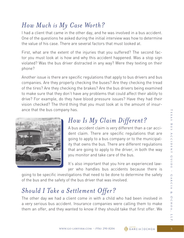#### *How Much is My Case Worth?*

I had a client that came in the other day, and he was involved in a bus accident. One of the questions he asked during the initial interview was how to determine the value of his case. There are several factors that must looked at.

First, what are the extent of the injuries that you suffered? The second factor you must look at is how and why this accident happened. Was a stop sign violated? Was the bus driver distracted in any way? Were they texting on their phone?

Another issue is there are specific regulations that apply to bus drivers and bus companies. Are they properly checking the buses? Are they checking the tread of the tires? Are they checking the brakes? Are the bus drivers being examined to make sure that they don't have any problems that could affect their ability to drive? For example, do they have blood pressure issues? Have they had their vision checked? The third thing that you must look at is the amount of insurance that the bus company has.



# *How Is My Claim Different?*

A bus accident claim is very different than a car accident claim. There are specific regulations that are going to apply to a bus company or to the municipality that owns the bus. There are different regulations that are going to apply to the driver, in both the way you monitor and take care of the bus.

It's also important that you hire an experienced lawyer who handles bus accidents because there is

going to be specific investigations that need to be done to determine the safety of the bus and the safety of the bus driver that was involved.

## *Should I Take a Settlement Offer?*

The other day we had a client come in with a child who had been involved in a very serious bus accident. Insurance companies were calling them to make them an offer, and they wanted to know if they should take that first offer. We

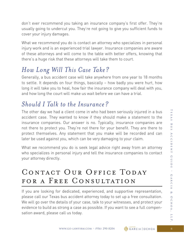don't ever recommend you taking an insurance company's first offer. They're usually going to undercut you. They're not going to give you sufficient funds to cover your injury damages.

What we recommend you do is contact an attorney who specializes in personal injury work and is an experienced trial lawyer. Insurance companies are aware of these attorneys and will come to the table with better offers, knowing that there's a huge risk that these attorneys will take them to court.

#### *How Long Will This Case Take?*

Generally, a bus accident case will take anywhere from one year to 18 months to settle. It depends on four things, basically – how badly you were hurt, how long it will take you to heal, how fair the insurance company will deal with you, and how long the court will make us wait before we can have a trial.

#### *Should I Talk to the Insurance?*

The other day we had a client come in who had been seriously injured in a bus accident case. They wanted to know if they should make a statement to the insurance companies. Our answer is no. Typically, insurance companies are not there to protect you. They're not there for your benefit. They are there to protect themselves. Any statement that you make will be recorded and can later be used against you, which can be very damaging to your claim.

What we recommend you do is seek legal advice right away from an attorney who specializes in personal injury and tell the insurance companies to contact your attorney directly.

# CONTACT OUR OFFICE TODAY FOR A FREE CONSULTATION

If you are looking for dedicated, experienced, and supportive representation, please call our Texas bus accident attorney today to set up a free consultation. We will go over the details of your case, talk to your witnesses, and protect your evidence to build as strong a case as possible. If you want to see a full compensation award, please call us today.

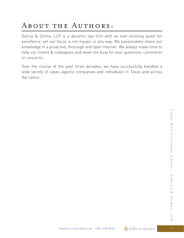# ABOUT THE AUTHORS:

Garcia & Ochoa, LLP is a dynamic law firm with an ever-evolving quest for excellence, yet our focus is not myopic in any way. We passionately share our knowledge in a proactive, thorough and open manner. We always make time to help our clients & colleagues and never too busy for your questions, comments or concerns.

Over the course of the past three decades, we have successfully handled a wide variety of cases against companies and individuals in Texas and across the nation.